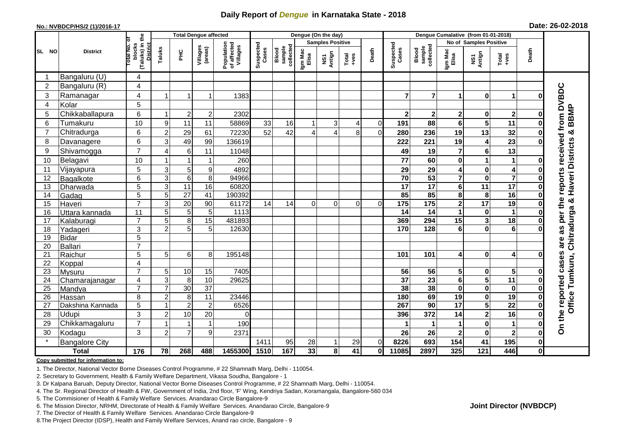## **Daily Report of** *Dengue* **in Karnataka State - 2018**

#### **No.: NVBDCP/HS/2 (1)/2016-17**

|  |  | Date: 26-02-2018 |
|--|--|------------------|
|--|--|------------------|

|                |                          |                         | <b>Total Dengue affected</b>                      |                      |                       |                     |                                       |                    |                              | Dengue (On the day)     |                                 |                  |                                    |                       |                              |                                        |                                   |                      |                                            |  |
|----------------|--------------------------|-------------------------|---------------------------------------------------|----------------------|-----------------------|---------------------|---------------------------------------|--------------------|------------------------------|-------------------------|---------------------------------|------------------|------------------------------------|-----------------------|------------------------------|----------------------------------------|-----------------------------------|----------------------|--------------------------------------------|--|
|                |                          | ō                       |                                                   |                      |                       |                     |                                       |                    |                              | <b>Samples Positive</b> |                                 |                  |                                    |                       |                              | No of Samples Positive                 |                                   |                      |                                            |  |
| SL NO          | <b>District</b>          |                         | (Taluks) in the<br>District<br>otal No.<br>blocks | Taluks               | ΞÉ                    | Villages<br>(areas) | Population<br>of affected<br>Villages | Suspected<br>Cases | Blood<br>sample<br>collected | Igm Mac<br>Elisa        | Antign<br>$\overline{\text{S}}$ | $Tota$<br>$+ves$ | Death                              | Suspected<br>Cases    | collected<br>sample<br>Blood | Igm Mac<br>Elisa                       | NS1<br>Antign                     | Total<br>+ves        | Death                                      |  |
|                | Bangaluru (U)            | 4                       |                                                   |                      |                       |                     |                                       |                    |                              |                         |                                 |                  |                                    |                       |                              |                                        |                                   |                      |                                            |  |
| $\overline{c}$ | Bangaluru (R)            | $\overline{\mathbf{4}}$ |                                                   |                      |                       |                     |                                       |                    |                              |                         |                                 |                  |                                    |                       |                              |                                        |                                   |                      |                                            |  |
| 3              | Ramanagar                | $\overline{4}$          |                                                   | -1                   | 1                     | 1383                |                                       |                    |                              |                         |                                 |                  | $\overline{7}$                     | $\overline{7}$        | 1                            | 0                                      | 1                                 | $\mathbf 0$          | are as per the reports received from DVBDC |  |
| $\overline{4}$ | Kolar                    | 5                       |                                                   |                      |                       |                     |                                       |                    |                              |                         |                                 |                  |                                    |                       |                              |                                        |                                   |                      |                                            |  |
| 5              | Chikkaballapura          | 6                       |                                                   | $\overline{2}$       | $\boldsymbol{2}$      | 2302                |                                       |                    |                              |                         |                                 |                  | 2                                  | $\mathbf{2}$          | 2                            | 0                                      | $\mathbf 2$                       | 0                    | <b>BBMP</b>                                |  |
| 6              | Tumakuru                 | 10                      | 9                                                 | 11                   | 11                    | 58869               | 33                                    | 16                 |                              | 3                       | 4                               | $\mathbf 0$      | 191                                | 88                    | 6                            | 5                                      | 11                                | 0                    |                                            |  |
| 7              | Chitradurga              | 6                       | $\overline{c}$                                    | 29                   | 61                    | 72230               | 52                                    | 42                 |                              | Δ                       | 8                               | $\overline{0}$   | 280                                | 236                   | 19                           | 13                                     | 32                                | 0                    | ×                                          |  |
| 8              | Davanagere               | 6                       | 3                                                 | 49                   | 99                    | 136619              |                                       |                    |                              |                         |                                 |                  | 222                                | 221                   | 19                           | 4                                      | 23                                | $\mathbf 0$          |                                            |  |
| 9              | Shivamogga               | $\overline{7}$          | $\overline{4}$                                    | 6                    | 11                    | 11048               |                                       |                    |                              |                         |                                 |                  | 49                                 | 19                    | $\overline{7}$               | 6                                      | 13                                |                      |                                            |  |
| 10             | Belagavi                 | 10                      |                                                   | $\overline{1}$       | $\mathbf{1}$          | 260                 |                                       |                    |                              |                         |                                 |                  | 77                                 | 60                    | 0                            | 1                                      | $\mathbf{1}$                      | 0                    | Haveri Districts                           |  |
| 11             | Vijayapura               | 5                       | $\mathsf 3$                                       | $\mathbf 5$          | $\boldsymbol{9}$      | 4892                |                                       |                    |                              |                         |                                 |                  | 29                                 | 29                    | 4                            | $\pmb{0}$                              | 4                                 | 0                    |                                            |  |
| 12             | Bagalkote                | 6                       | $\overline{3}$                                    | $\,6\,$              | 8                     | 94966               |                                       |                    |                              |                         |                                 |                  | $\overline{70}$                    | 53                    | $\overline{7}$               | $\bf{0}$                               | $\overline{\mathbf{7}}$           | 0                    |                                            |  |
| 13             | Dharwada                 | $\overline{5}$          | $\overline{3}$                                    | 11                   | 16                    | 60820               |                                       |                    |                              |                         |                                 |                  | $\overline{17}$                    | 17                    | 6                            | 11                                     | $\overline{17}$                   | 0                    |                                            |  |
| 14             | Gadag                    | 5                       | $\overline{5}$                                    | $\overline{27}$      | $\overline{41}$       | 190392              |                                       |                    |                              |                         |                                 |                  | 85                                 | 85                    | 8                            | 8                                      | $\overline{16}$                   | $\bf{0}$             |                                            |  |
| 15             | Haveri                   | $\overline{7}$          | 3                                                 | 20                   | 90                    | 61172               | 14                                    | 14                 | 0                            | $\Omega$                | $\Omega$                        | $\Omega$         | 175                                | 175                   | $\mathbf{2}$                 | $\overline{17}$                        | 19                                | 0                    | න්                                         |  |
| 16             | Uttara kannada           | 11                      | $\overline{5}$                                    | 5                    | $\sqrt{5}$            | 1113                |                                       |                    |                              |                         |                                 |                  | 14                                 | 14                    | 1                            | $\mathbf 0$                            | $\mathbf{1}$                      | $\bf{0}$             | Chitradurga                                |  |
| 17             | Kalaburagi               | $\overline{7}$          | $\overline{5}$                                    | $\overline{8}$       | $\overline{15}$       | 481893              |                                       |                    |                              |                         |                                 |                  | 369                                | 294                   | 15                           | $\overline{\mathbf{3}}$                | $\overline{18}$                   | 0                    |                                            |  |
| 18             | Yadageri                 | 3                       | $\overline{2}$                                    | 5                    | 5                     | 12630               |                                       |                    |                              |                         |                                 |                  | 170                                | 128                   | 6                            | 0                                      | 6                                 | O                    |                                            |  |
| 19             | <b>Bidar</b>             | 5                       |                                                   |                      |                       |                     |                                       |                    |                              |                         |                                 |                  |                                    |                       |                              |                                        |                                   |                      |                                            |  |
| 20             | Ballari                  | $\overline{7}$          |                                                   |                      |                       |                     |                                       |                    |                              |                         |                                 |                  |                                    |                       |                              |                                        |                                   |                      |                                            |  |
| 21             | Raichur                  | 5                       | 5                                                 | 6                    | 8                     | 195148              |                                       |                    |                              |                         |                                 |                  | 101                                | 101                   | 4                            | $\mathbf 0$                            | 4                                 | 0                    |                                            |  |
| 22             | Koppal                   | 4<br>$\overline{7}$     |                                                   |                      |                       |                     |                                       |                    |                              |                         |                                 |                  |                                    |                       |                              |                                        |                                   |                      |                                            |  |
| 23<br>24       | <b>Mysuru</b>            | 4                       | 5<br>$\overline{3}$                               | 10<br>$\overline{8}$ | 15<br>$\overline{10}$ | 7405<br>29625       |                                       |                    |                              |                         |                                 |                  | $\overline{56}$<br>$\overline{37}$ | 56<br>$\overline{23}$ | 5<br>$6\phantom{1}$          | $\mathbf 0$<br>$\overline{\mathbf{5}}$ | $5\phantom{a}$<br>$\overline{11}$ | $\bf{0}$<br>$\bf{0}$ |                                            |  |
| 25             | Chamarajanagar<br>Mandya | $\overline{7}$          | $\overline{7}$                                    | 30                   | $\overline{37}$       |                     |                                       |                    |                              |                         |                                 |                  | 38                                 | $\overline{38}$       | $\mathbf 0$                  | $\pmb{0}$                              | $\mathbf 0$                       | $\bf{0}$             | Tumkuru,                                   |  |
| 26             | Hassan                   | 8                       | $\overline{c}$                                    | 8                    | $\overline{11}$       | 23446               |                                       |                    |                              |                         |                                 |                  | 180                                | 69                    | 19                           | $\mathbf 0$                            | 19                                | $\bf{0}$             |                                            |  |
| 27             | Dakshina Kannada         | 5                       |                                                   | $\overline{2}$       | $\boldsymbol{2}$      | 6526                |                                       |                    |                              |                         |                                 |                  | 267                                | 90                    | $\overline{17}$              | $\overline{\mathbf{5}}$                | $\overline{22}$                   | $\bf{0}$             | Office <sup>-</sup>                        |  |
| 28             | Udupi                    | 3                       | $\overline{2}$                                    | 10                   | 20                    | $\overline{0}$      |                                       |                    |                              |                         |                                 |                  | 396                                | 372                   | 14                           | $\overline{\mathbf{2}}$                | 16                                | 0                    | On the reported cases                      |  |
| 29             | Chikkamagaluru           | $\overline{7}$          |                                                   | -1                   | $\mathbf{1}$          | 190                 |                                       |                    |                              |                         |                                 |                  |                                    |                       |                              | $\mathbf 0$                            | 1                                 | $\bf{0}$             |                                            |  |
| 30             | Kodagu                   | 3                       | $\overline{2}$                                    | $\overline{7}$       | $\boldsymbol{9}$      | 2371                |                                       |                    |                              |                         |                                 |                  | 26                                 | 26                    | $\mathbf 2$                  | $\mathbf 0$                            | $\mathbf{2}$                      | $\mathbf 0$          |                                            |  |
| $\star$        | <b>Bangalore City</b>    |                         |                                                   |                      |                       |                     | 1411                                  | 95                 | 28                           | 1                       | 29                              | $\Omega$         | 8226                               | 693                   | 154                          | 41                                     | 195                               | $\bf{0}$             |                                            |  |
|                | <b>Total</b>             | $\frac{1}{176}$         | 78                                                | 268                  | 488                   | 1455300             | 1510                                  | 167                | 33                           | $\bf{8}$                | $\overline{41}$                 | 0                | 11085                              | 2897                  | 325                          | $\overline{121}$                       | 446                               | $\pmb{0}$            |                                            |  |

#### **Copy submitted for information to:**

1. The Director, National Vector Borne Diseases Control Programme, # 22 Shamnath Marg, Delhi - 110054.

2. Secretary to Government, Health & Family Welfare Department, Vikasa Soudha, Bangalore - 1

3. Dr Kalpana Baruah, Deputy Director, National Vector Borne Diseases Control Programme, # 22 Shamnath Marg, Delhi - 110054.

4. The Sr. Regional Director of Health & FW, Government of India, 2nd floor, 'F' Wing, Kendriya Sadan, Koramangala, Bangalore-560 034

5. The Commisioner of Health & Family Welfare Services. Anandarao Circle Bangalore-9

6. The Mission Director, NRHM, Directorate of Health & Family Welfare Services. Anandarao Circle, Bangalore-9

7. The Director of Health & Family Welfare Services. Anandarao Circle Bangalore-9

8.The Project Director (IDSP), Health and Family Welfare Services, Anand rao circle, Bangalore - 9